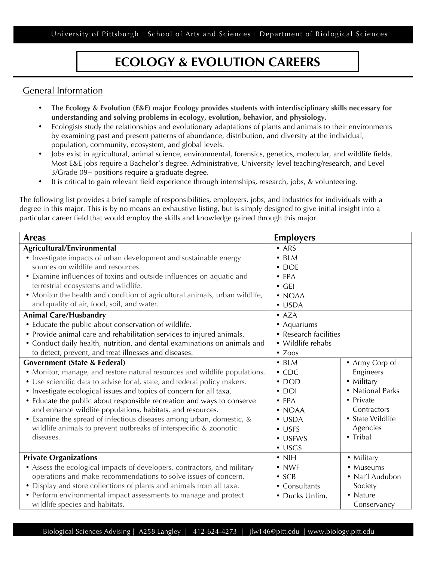University of Pittsburgh | School of Arts and Sciences | Department of Biological Sciences

## **ECOLOGY & EVOLUTION CAREERS**

## General Information

- **The Ecology & Evolution (E&E) major Ecology provides students with interdisciplinary skills necessary for understanding and solving problems in ecology, evolution, behavior, and physiology.**
- Ecologists study the relationships and evolutionary adaptations of plants and animals to their environments by examining past and present patterns of abundance, distribution, and diversity at the individual, population, community, ecosystem, and global levels.
- Jobs exist in agricultural, animal science, environmental, forensics, genetics, molecular, and wildlife fields. Most E&E jobs require a Bachelor's degree. Administrative, University level teaching/research, and Level 3/Grade 09+ positions require a graduate degree.
- It is critical to gain relevant field experience through internships, research, jobs, & volunteering.

The following list provides a brief sample of responsibilities, employers, jobs, and industries for individuals with a degree in this major. This is by no means an exhaustive listing, but is simply designed to give initial insight into a particular career field that would employ the skills and knowledge gained through this major.

| <b>Areas</b>                                                                | <b>Employers</b>      |                  |
|-----------------------------------------------------------------------------|-----------------------|------------------|
| Agricultural/Environmental                                                  | $\bullet$ ARS         |                  |
| • Investigate impacts of urban development and sustainable energy           | $\bullet$ BLM         |                  |
| sources on wildlife and resources.                                          | $\bullet$ DOE         |                  |
| • Examine influences of toxins and outside influences on aquatic and        | $\bullet$ EPA         |                  |
| terrestrial ecosystems and wildlife.                                        | $\bullet$ GEI         |                  |
| • Monitor the health and condition of agricultural animals, urban wildlife, | $\bullet$ NOAA        |                  |
| and quality of air, food, soil, and water.                                  | $\bullet$ USDA        |                  |
| <b>Animal Care/Husbandry</b>                                                | $\bullet$ AZA         |                  |
| • Educate the public about conservation of wildlife.                        | • Aquariums           |                  |
| • Provide animal care and rehabilitation services to injured animals.       | • Research facilities |                  |
| • Conduct daily health, nutrition, and dental examinations on animals and   | • Wildlife rehabs     |                  |
| to detect, prevent, and treat illnesses and diseases.                       | $\bullet$ Zoos        |                  |
| <b>Government (State &amp; Federal)</b>                                     | $\bullet$ BLM         | • Army Corp of   |
| • Monitor, manage, and restore natural resources and wildlife populations.  | $\cdot$ CDC           | Engineers        |
| • Use scientific data to advise local, state, and federal policy makers.    | $\cdot$ DOD           | • Military       |
| • Investigate ecological issues and topics of concern for all taxa.         | $\cdot$ DOI           | • National Parks |
| • Educate the public about responsible recreation and ways to conserve      | $\bullet$ EPA         | • Private        |
| and enhance wildlife populations, habitats, and resources.                  | $\bullet$ NOAA        | Contractors      |
| • Examine the spread of infectious diseases among urban, domestic, &        | $\cdot$ USDA          | • State Wildlife |
| wildlife animals to prevent outbreaks of interspecific & zoonotic           | $\bullet$ USFS        | Agencies         |
| diseases.                                                                   | • USFWS               | • Tribal         |
|                                                                             | $\cdot$ USGS          |                  |
| <b>Private Organizations</b>                                                | $\bullet$ NIH         | • Military       |
| • Assess the ecological impacts of developers, contractors, and military    | $\cdot$ NWF           | • Museums        |
| operations and make recommendations to solve issues of concern.             | $\bullet$ SCB         | • Nat'l Audubon  |
| • Display and store collections of plants and animals from all taxa.        | • Consultants         | Society          |
| • Perform environmental impact assessments to manage and protect            | • Ducks Unlim.        | • Nature         |
| wildlife species and habitats.                                              |                       | Conservancy      |